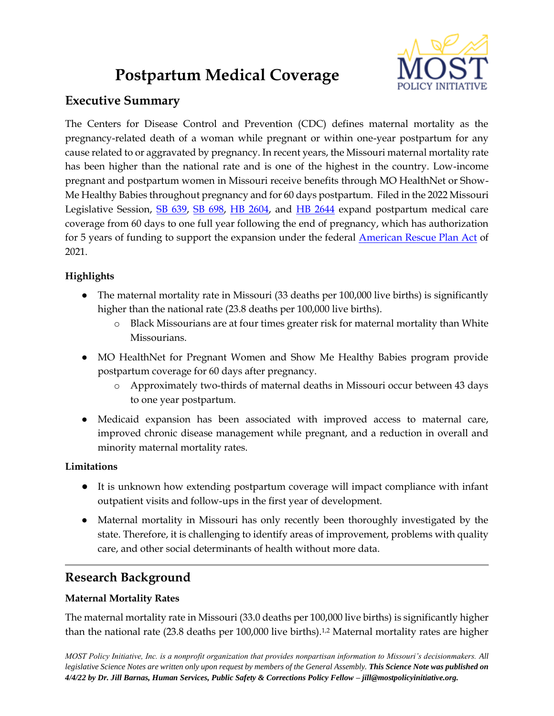# **Postpartum Medical Coverage**



# **Executive Summary**

The Centers for Disease Control and Prevention (CDC) defines maternal mortality as the pregnancy-related death of a woman while pregnant or within one-year postpartum for any cause related to or aggravated by pregnancy. In recent years, the Missouri maternal mortality rate has been higher than the national rate and is one of the highest in the country. Low-income pregnant and postpartum women in Missouri receive benefits through MO HealthNet or Show-Me Healthy Babies throughout pregnancy and for 60 days postpartum. Filed in the 2022 Missouri Legislative Session, [SB 639,](https://www.senate.mo.gov/22info/BTS_Web/Bill.aspx?SessionType=R&BillID=71263283) [SB 698,](https://www.senate.mo.gov/22info/BTS_Web/Bill.aspx?SessionType=R&BillID=71261047) [HB 2604,](https://house.mo.gov/Bill.aspx?bill=HB2604&year=2022&code=R) and [HB 2644](https://house.mo.gov/Bill.aspx?bill=HB2644&year=2022&code=R) expand postpartum medical care coverage from 60 days to one full year following the end of pregnancy, which has authorization for 5 years of funding to support the expansion under the federal **American Rescue Plan Act** of 2021.

## **Highlights**

- The maternal mortality rate in Missouri (33 deaths per 100,000 live births) is significantly higher than the national rate (23.8 deaths per 100,000 live births).
	- o Black Missourians are at four times greater risk for maternal mortality than White Missourians.
- MO HealthNet for Pregnant Women and Show Me Healthy Babies program provide postpartum coverage for 60 days after pregnancy.
	- o Approximately two-thirds of maternal deaths in Missouri occur between 43 days to one year postpartum.
- Medicaid expansion has been associated with improved access to maternal care, improved chronic disease management while pregnant, and a reduction in overall and minority maternal mortality rates.

## **Limitations**

- It is unknown how extending postpartum coverage will impact compliance with infant outpatient visits and follow-ups in the first year of development.
- Maternal mortality in Missouri has only recently been thoroughly investigated by the state. Therefore, it is challenging to identify areas of improvement, problems with quality care, and other social determinants of health without more data.

# **Research Background**

## **Maternal Mortality Rates**

The maternal mortality rate in Missouri (33.0 deaths per 100,000 live births) is significantly higher than the national rate (23.8 deaths per 100,000 live births).<sup>1,2</sup> Maternal mortality rates are higher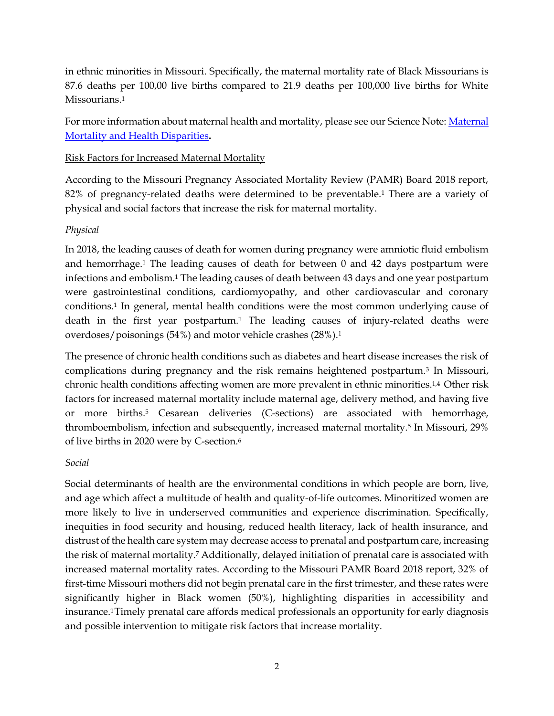in ethnic minorities in Missouri. Specifically, the maternal mortality rate of Black Missourians is 87.6 deaths per 100,00 live births compared to 21.9 deaths per 100,000 live births for White Missourians.<sup>1</sup>

For more information about maternal health and mortality, please see our Science Note: [Maternal](https://mostpolicyinitiative.org/science-note/maternal-mortality-and-health-disparities/)  [Mortality and Health Disparities](https://mostpolicyinitiative.org/science-note/maternal-mortality-and-health-disparities/)**.**

#### Risk Factors for Increased Maternal Mortality

According to the Missouri Pregnancy Associated Mortality Review (PAMR) Board 2018 report, 82% of pregnancy-related deaths were determined to be preventable.<sup>1</sup> There are a variety of physical and social factors that increase the risk for maternal mortality.

#### *Physical*

In 2018, the leading causes of death for women during pregnancy were amniotic fluid embolism and hemorrhage.<sup>1</sup> The leading causes of death for between 0 and 42 days postpartum were infections and embolism.<sup>1</sup> The leading causes of death between 43 days and one year postpartum were gastrointestinal conditions, cardiomyopathy, and other cardiovascular and coronary conditions.<sup>1</sup> In general, mental health conditions were the most common underlying cause of death in the first year postpartum.<sup>1</sup> The leading causes of injury-related deaths were overdoses/poisonings (54%) and motor vehicle crashes (28%).<sup>1</sup>

The presence of chronic health conditions such as diabetes and heart disease increases the risk of complications during pregnancy and the risk remains heightened postpartum.<sup>3</sup> In Missouri, chronic health conditions affecting women are more prevalent in ethnic minorities.1,4 Other risk factors for increased maternal mortality include maternal age, delivery method, and having five or more births.<sup>5</sup> Cesarean deliveries (C-sections) are associated with hemorrhage, thromboembolism, infection and subsequently, increased maternal mortality.<sup>5</sup> In Missouri, 29% of live births in 2020 were by C-section.<sup>6</sup>

#### *Social*

Social determinants of health are the environmental conditions in which people are born, live, and age which affect a multitude of health and quality-of-life outcomes. Minoritized women are more likely to live in underserved communities and experience discrimination. Specifically, inequities in food security and housing, reduced health literacy, lack of health insurance, and distrust of the health care system may decrease access to prenatal and postpartum care, increasing the risk of maternal mortality.<sup>7</sup> Additionally, delayed initiation of prenatal care is associated with increased maternal mortality rates. According to the Missouri PAMR Board 2018 report, 32% of first-time Missouri mothers did not begin prenatal care in the first trimester, and these rates were significantly higher in Black women (50%), highlighting disparities in accessibility and insurance.1Timely prenatal care affords medical professionals an opportunity for early diagnosis and possible intervention to mitigate risk factors that increase mortality.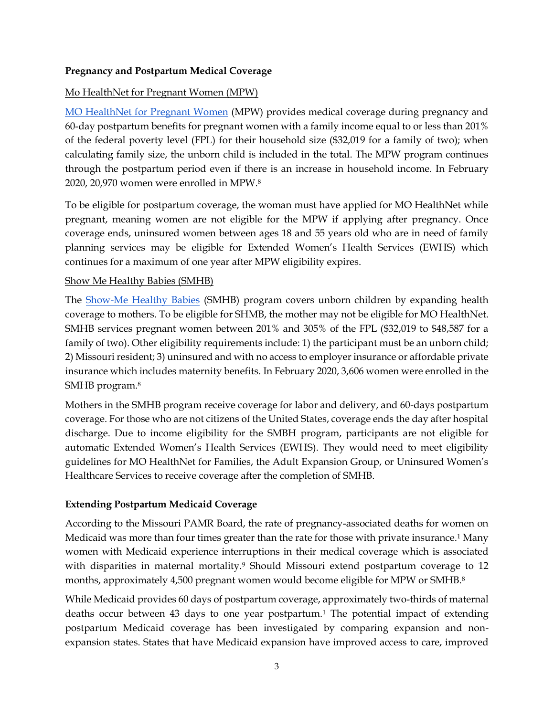#### **Pregnancy and Postpartum Medical Coverage**

#### Mo HealthNet for Pregnant Women (MPW)

[MO HealthNet for Pregnant Women](https://dssmanuals.mo.gov/family-mo-healthnet-magi/1850-000-00/) (MPW) provides medical coverage during pregnancy and 60-day postpartum benefits for pregnant women with a family income equal to or less than 201% of the federal poverty level (FPL) for their household size (\$32,019 for a family of two); when calculating family size, the unborn child is included in the total. The MPW program continues through the postpartum period even if there is an increase in household income. In February 2020, 20,970 women were enrolled in MPW.<sup>8</sup>

To be eligible for postpartum coverage, the woman must have applied for MO HealthNet while pregnant, meaning women are not eligible for the MPW if applying after pregnancy. Once coverage ends, uninsured women between ages 18 and 55 years old who are in need of family planning services may be eligible for Extended Women's Health Services (EWHS) which continues for a maximum of one year after MPW eligibility expires.

#### Show Me Healthy Babies (SMHB)

The [Show-Me Healthy Babies](https://dssmanuals.mo.gov/family-mo-healthnet-magi/1855-000-00/) (SMHB) program covers unborn children by expanding health coverage to mothers. To be eligible for SHMB, the mother may not be eligible for MO HealthNet. SMHB services pregnant women between 201% and 305% of the FPL (\$32,019 to \$48,587 for a family of two). Other eligibility requirements include: 1) the participant must be an unborn child; 2) Missouri resident; 3) uninsured and with no access to employer insurance or affordable private insurance which includes maternity benefits. In February 2020, 3,606 women were enrolled in the SMHB program.<sup>8</sup>

Mothers in the SMHB program receive coverage for labor and delivery, and 60-days postpartum coverage. For those who are not citizens of the United States, coverage ends the day after hospital discharge. Due to income eligibility for the SMBH program, participants are not eligible for automatic Extended Women's Health Services (EWHS). They would need to meet eligibility guidelines for MO HealthNet for Families, the Adult Expansion Group, or Uninsured Women's Healthcare Services to receive coverage after the completion of SMHB.

#### **Extending Postpartum Medicaid Coverage**

According to the Missouri PAMR Board, the rate of pregnancy-associated deaths for women on Medicaid was more than four times greater than the rate for those with private insurance.<sup>1</sup> Many women with Medicaid experience interruptions in their medical coverage which is associated with disparities in maternal mortality.<sup>9</sup> Should Missouri extend postpartum coverage to 12 months, approximately 4,500 pregnant women would become eligible for MPW or SMHB.<sup>8</sup>

While Medicaid provides 60 days of postpartum coverage, approximately two-thirds of maternal deaths occur between 43 days to one year postpartum.<sup>1</sup> The potential impact of extending postpartum Medicaid coverage has been investigated by comparing expansion and nonexpansion states. States that have Medicaid expansion have improved access to care, improved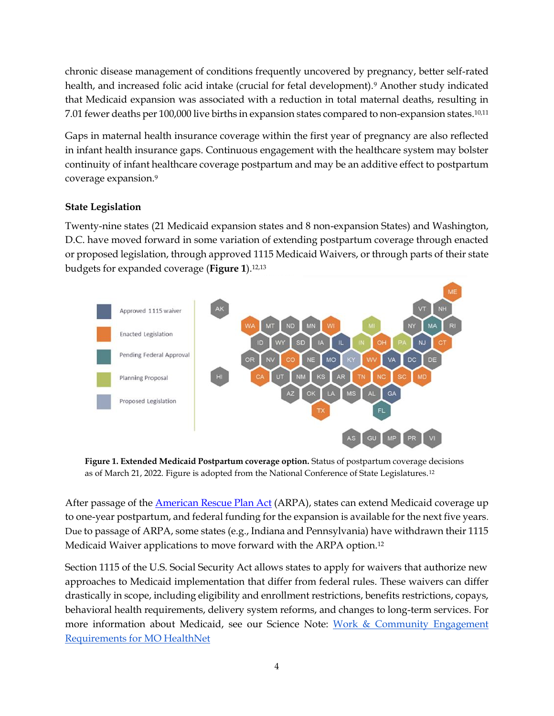chronic disease management of conditions frequently uncovered by pregnancy, better self-rated health, and increased folic acid intake (crucial for fetal development).<sup>9</sup> Another study indicated that Medicaid expansion was associated with a reduction in total maternal deaths, resulting in 7.01 fewer deaths per 100,000 live births in expansion states compared to non-expansion states.10,11

Gaps in maternal health insurance coverage within the first year of pregnancy are also reflected in infant health insurance gaps. Continuous engagement with the healthcare system may bolster continuity of infant healthcare coverage postpartum and may be an additive effect to postpartum coverage expansion.<sup>9</sup>

### **State Legislation**

Twenty-nine states (21 Medicaid expansion states and 8 non-expansion States) and Washington, D.C. have moved forward in some variation of extending postpartum coverage through enacted or proposed legislation, through approved 1115 Medicaid Waivers, or through parts of their state budgets for expanded coverage (**Figure 1**).12,13



**Figure 1. Extended Medicaid Postpartum coverage option.** Status of postpartum coverage decisions as of March 21, 2022. Figure is adopted from the National Conference of State Legislatures.12

After passage of the [American Rescue Plan Act](https://www.congress.gov/bill/117th-congress/house-bill/1319/text) (ARPA), states can extend Medicaid coverage up to one-year postpartum, and federal funding for the expansion is available for the next five years. Due to passage of ARPA, some states (e.g., Indiana and Pennsylvania) have withdrawn their 1115 Medicaid Waiver applications to move forward with the ARPA option.<sup>12</sup>

Section 1115 of the U.S. Social Security Act allows states to apply for waivers that authorize new approaches to Medicaid implementation that differ from federal rules. These waivers can differ drastically in scope, including eligibility and enrollment restrictions, benefits restrictions, copays, behavioral health requirements, delivery system reforms, and changes to long-term services. For more information about Medicaid, see our Science Note: [Work & Community Engagement](https://mostpolicyinitiative.org/science-note/work-and-community-engagement-requirements-for-mo-healthnet/)  [Requirements for MO HealthNet](https://mostpolicyinitiative.org/science-note/work-and-community-engagement-requirements-for-mo-healthnet/)